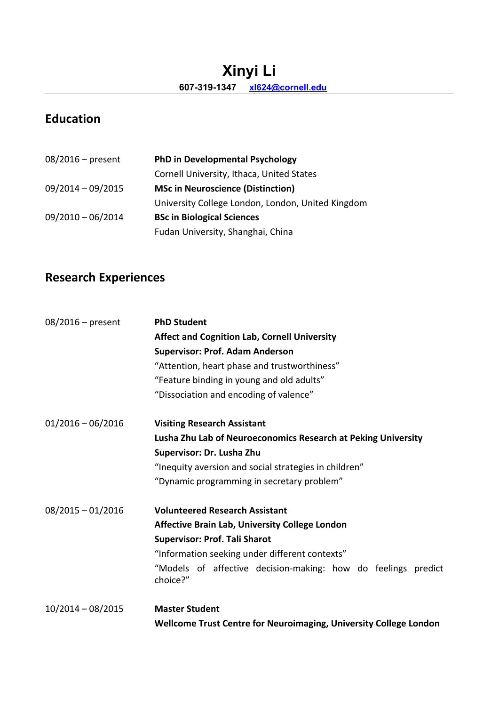## **Xinyi Li 607-319-1347 [xl624@cornell.edu](mailto:xl624@cornell.edu)**

# **Education**

| $08/2016$ – present | PhD in Developmental Psychology                   |
|---------------------|---------------------------------------------------|
|                     | Cornell University, Ithaca, United States         |
| $09/2014 - 09/2015$ | <b>MSc in Neuroscience (Distinction)</b>          |
|                     | University College London, London, United Kingdom |
| $09/2010 - 06/2014$ | <b>BSc in Biological Sciences</b>                 |
|                     | Fudan University, Shanghai, China                 |

# **Research Experiences**

| $08/2016$ – present | <b>PhD Student</b>                                                        |
|---------------------|---------------------------------------------------------------------------|
|                     | <b>Affect and Cognition Lab, Cornell University</b>                       |
|                     | <b>Supervisor: Prof. Adam Anderson</b>                                    |
|                     | "Attention, heart phase and trustworthiness"                              |
|                     | "Feature binding in young and old adults"                                 |
|                     | "Dissociation and encoding of valence"                                    |
| $01/2016 - 06/2016$ | <b>Visiting Research Assistant</b>                                        |
|                     | Lusha Zhu Lab of Neuroeconomics Research at Peking University             |
|                     | Supervisor: Dr. Lusha Zhu                                                 |
|                     | "Inequity aversion and social strategies in children"                     |
|                     | "Dynamic programming in secretary problem"                                |
| $08/2015 - 01/2016$ | <b>Volunteered Research Assistant</b>                                     |
|                     | <b>Affective Brain Lab, University College London</b>                     |
|                     | <b>Supervisor: Prof. Tali Sharot</b>                                      |
|                     | "Information seeking under different contexts"                            |
|                     | "Models of affective decision-making: how do feelings predict<br>choice?" |
| $10/2014 - 08/2015$ | <b>Master Student</b>                                                     |
|                     | Wellcome Trust Centre for Neuroimaging, University College London         |